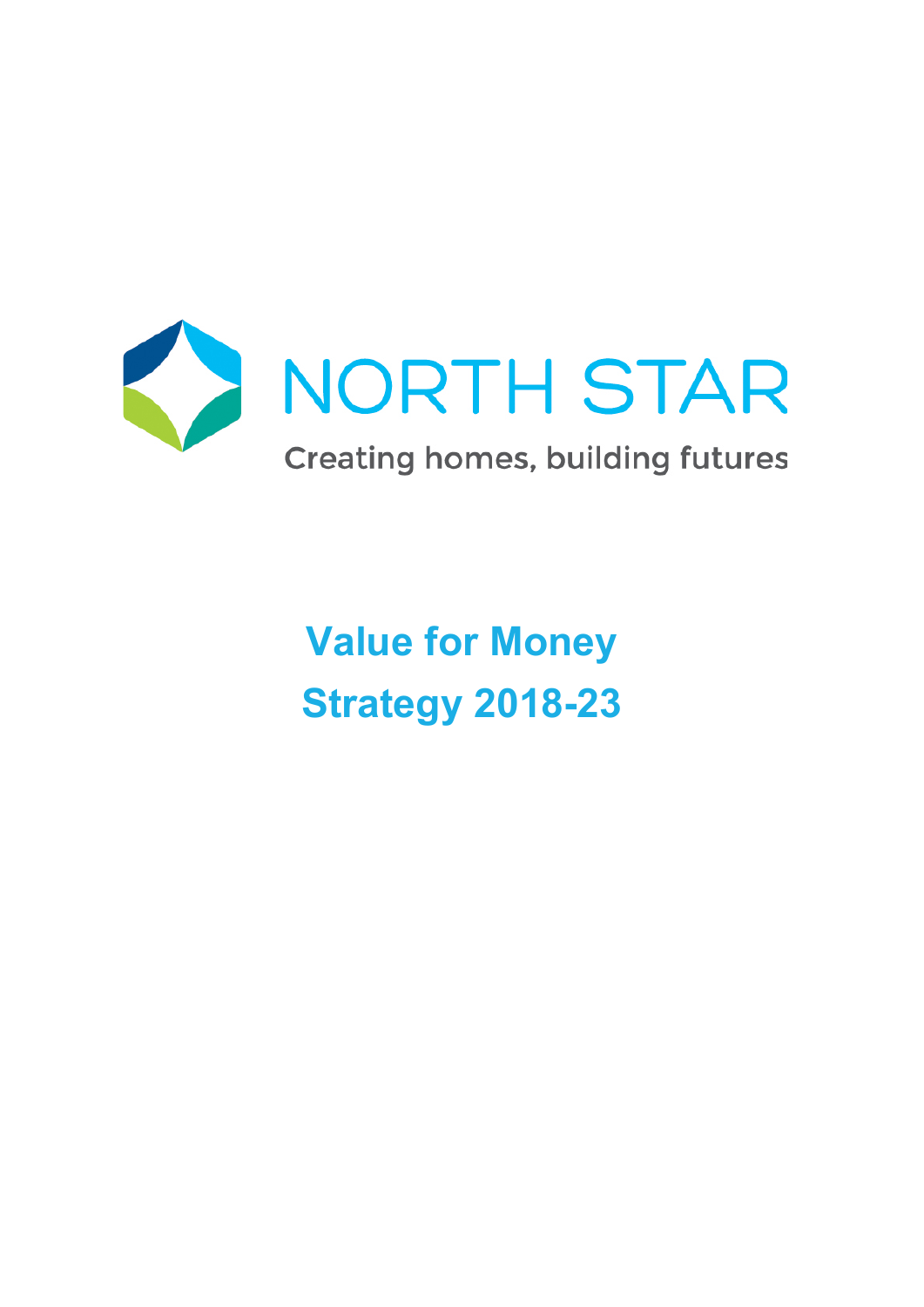

**Value for Money Strategy 2018-23**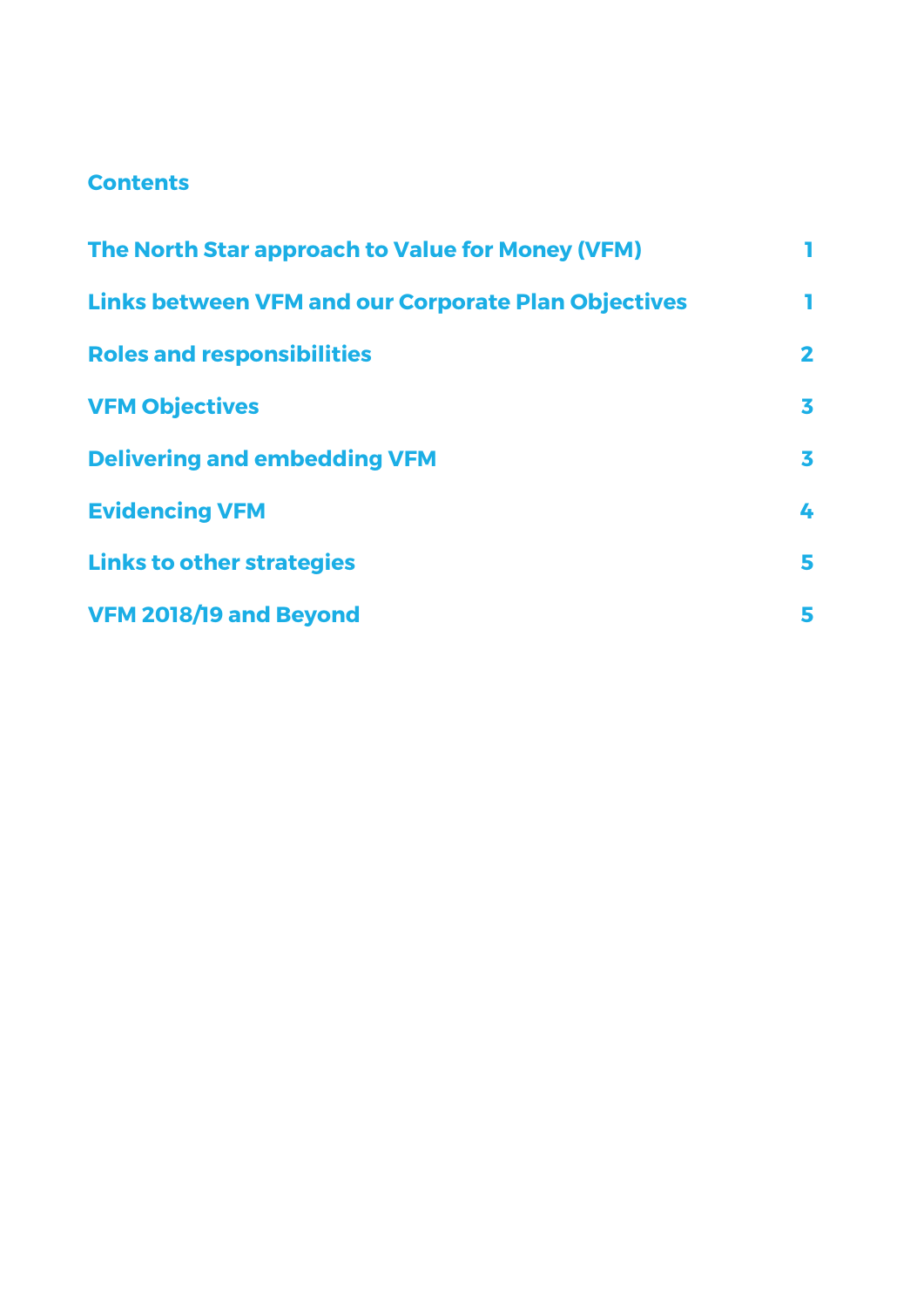# **Contents**

| The North Star approach to Value for Money (VFM)           |              |  |
|------------------------------------------------------------|--------------|--|
| <b>Links between VFM and our Corporate Plan Objectives</b> | П            |  |
| <b>Roles and responsibilities</b>                          | $\mathbf{2}$ |  |
| <b>VFM Objectives</b>                                      | 3            |  |
| <b>Delivering and embedding VFM</b>                        | 3            |  |
| <b>Evidencing VFM</b>                                      | 4            |  |
| <b>Links to other strategies</b>                           | 5            |  |
| VFM 2018/19 and Beyond                                     | 5            |  |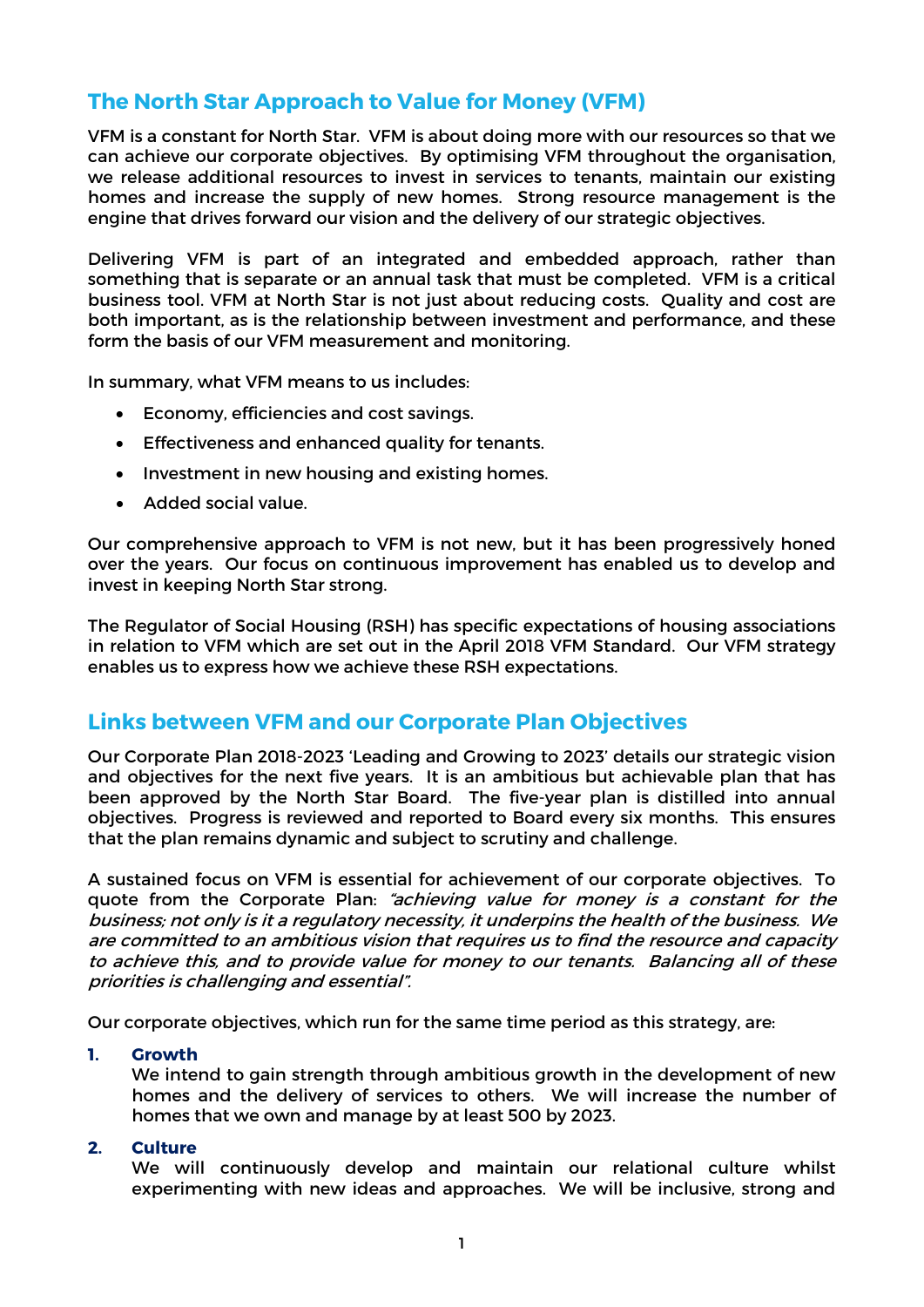# **The North Star Approach to Value for Money (VFM)**

VFM is a constant for North Star. VFM is about doing more with our resources so that we can achieve our corporate objectives. By optimising VFM throughout the organisation, we release additional resources to invest in services to tenants, maintain our existing homes and increase the supply of new homes. Strong resource management is the engine that drives forward our vision and the delivery of our strategic objectives.

Delivering VFM is part of an integrated and embedded approach, rather than something that is separate or an annual task that must be completed. VFM is a critical business tool. VFM at North Star is not just about reducing costs. Quality and cost are both important, as is the relationship between investment and performance, and these form the basis of our VFM measurement and monitoring.

In summary, what VFM means to us includes:

- Economy, efficiencies and cost savings.
- Effectiveness and enhanced quality for tenants.
- Investment in new housing and existing homes.
- Added social value.

Our comprehensive approach to VFM is not new, but it has been progressively honed over the years. Our focus on continuous improvement has enabled us to develop and invest in keeping North Star strong.

The Regulator of Social Housing (RSH) has specific expectations of housing associations in relation to VFM which are set out in the April 2018 VFM Standard. Our VFM strategy enables us to express how we achieve these RSH expectations.

## **Links between VFM and our Corporate Plan Objectives**

Our Corporate Plan 2018-2023 'Leading and Growing to 2023' details our strategic vision and objectives for the next five years. It is an ambitious but achievable plan that has been approved by the North Star Board. The five-year plan is distilled into annual objectives. Progress is reviewed and reported to Board every six months. This ensures that the plan remains dynamic and subject to scrutiny and challenge.

A sustained focus on VFM is essential for achievement of our corporate objectives. To quote from the Corporate Plan: "achieving value for money is a constant for the business; not only is it a regulatory necessity, it underpins the health of the business. We are committed to an ambitious vision that requires us to find the resource and capacity to achieve this, and to provide value for money to our tenants. Balancing all of these priorities is challenging and essential".

Our corporate objectives, which run for the same time period as this strategy, are:

### **1. Growth**

We intend to gain strength through ambitious growth in the development of new homes and the delivery of services to others. We will increase the number of homes that we own and manage by at least 500 by 2023.

### **2. Culture**

We will continuously develop and maintain our relational culture whilst experimenting with new ideas and approaches. We will be inclusive, strong and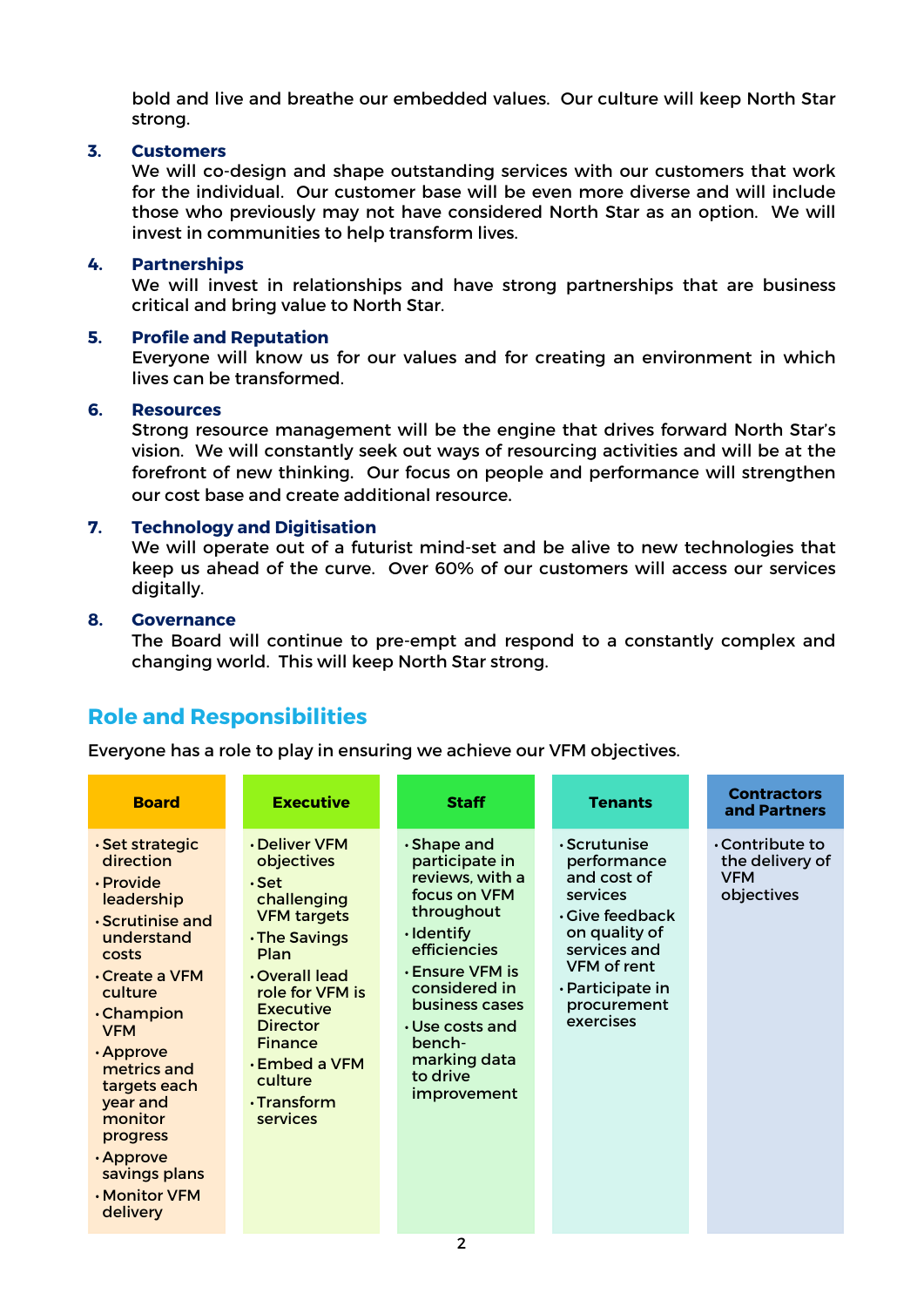bold and live and breathe our embedded values. Our culture will keep North Star strong.

### **3. Customers**

We will co-design and shape outstanding services with our customers that work for the individual. Our customer base will be even more diverse and will include those who previously may not have considered North Star as an option. We will invest in communities to help transform lives.

### **4. Partnerships**

We will invest in relationships and have strong partnerships that are business critical and bring value to North Star.

## **5. Profile and Reputation**

Everyone will know us for our values and for creating an environment in which lives can be transformed.

### **6. Resources**

Strong resource management will be the engine that drives forward North Star's vision. We will constantly seek out ways of resourcing activities and will be at the forefront of new thinking. Our focus on people and performance will strengthen our cost base and create additional resource.

## **7. Technology and Digitisation**

We will operate out of a futurist mind-set and be alive to new technologies that keep us ahead of the curve. Over 60% of our customers will access our services digitally.

### **8. Governance**

The Board will continue to pre-empt and respond to a constantly complex and changing world. This will keep North Star strong.

# **Role and Responsibilities**

Everyone has a role to play in ensuring we achieve our VFM objectives.

| <b>Board</b>                                                                                                                                                                                                                                                                                                                       | <b>Executive</b>                                                                                                                                                                                                                                                  | <b>Staff</b>                                                                                                                                                                                                                                                                    | <b>Tenants</b>                                                                                                                                                                        | <b>Contractors</b><br>and Partners                                   |
|------------------------------------------------------------------------------------------------------------------------------------------------------------------------------------------------------------------------------------------------------------------------------------------------------------------------------------|-------------------------------------------------------------------------------------------------------------------------------------------------------------------------------------------------------------------------------------------------------------------|---------------------------------------------------------------------------------------------------------------------------------------------------------------------------------------------------------------------------------------------------------------------------------|---------------------------------------------------------------------------------------------------------------------------------------------------------------------------------------|----------------------------------------------------------------------|
| $\cdot$ Set strategic<br>direction<br>· Provide<br>leadership<br>· Scrutinise and<br>understand<br>costs<br>$\cdot$ Create a VFM<br>culture<br><b>Champion</b><br><b>VFM</b><br>$\cdot$ Approve<br>metrics and<br>targets each<br>year and<br>monitor<br>progress<br>$\cdot$ Approve<br>savings plans<br>. Monitor VFM<br>delivery | · Deliver VFM<br>objectives<br>$\cdot$ Set<br>challenging<br><b>VFM targets</b><br>. The Savings<br>Plan<br>. Overall lead<br>role for VFM is<br>Executive<br><b>Director</b><br><b>Finance</b><br><b>Embed a VFM</b><br>culture<br>$\cdot$ Transform<br>services | $\cdot$ Shape and<br>participate in<br>reviews, with a<br>focus on VFM<br>throughout<br>$\cdot$ Identify<br>efficiencies<br>$\boldsymbol{\cdot}$ Ensure VFM is<br>considered in<br>business cases<br>$\cdot$ Use costs and<br>bench-<br>marking data<br>to drive<br>improvement | $\cdot$ Scrutunise<br>performance<br>and cost of<br>services<br>$\cdot$ Give feedback<br>on quality of<br>services and<br>VFM of rent<br>· Participate in<br>procurement<br>exercises | $\cdot$ Contribute to<br>the delivery of<br><b>VFM</b><br>objectives |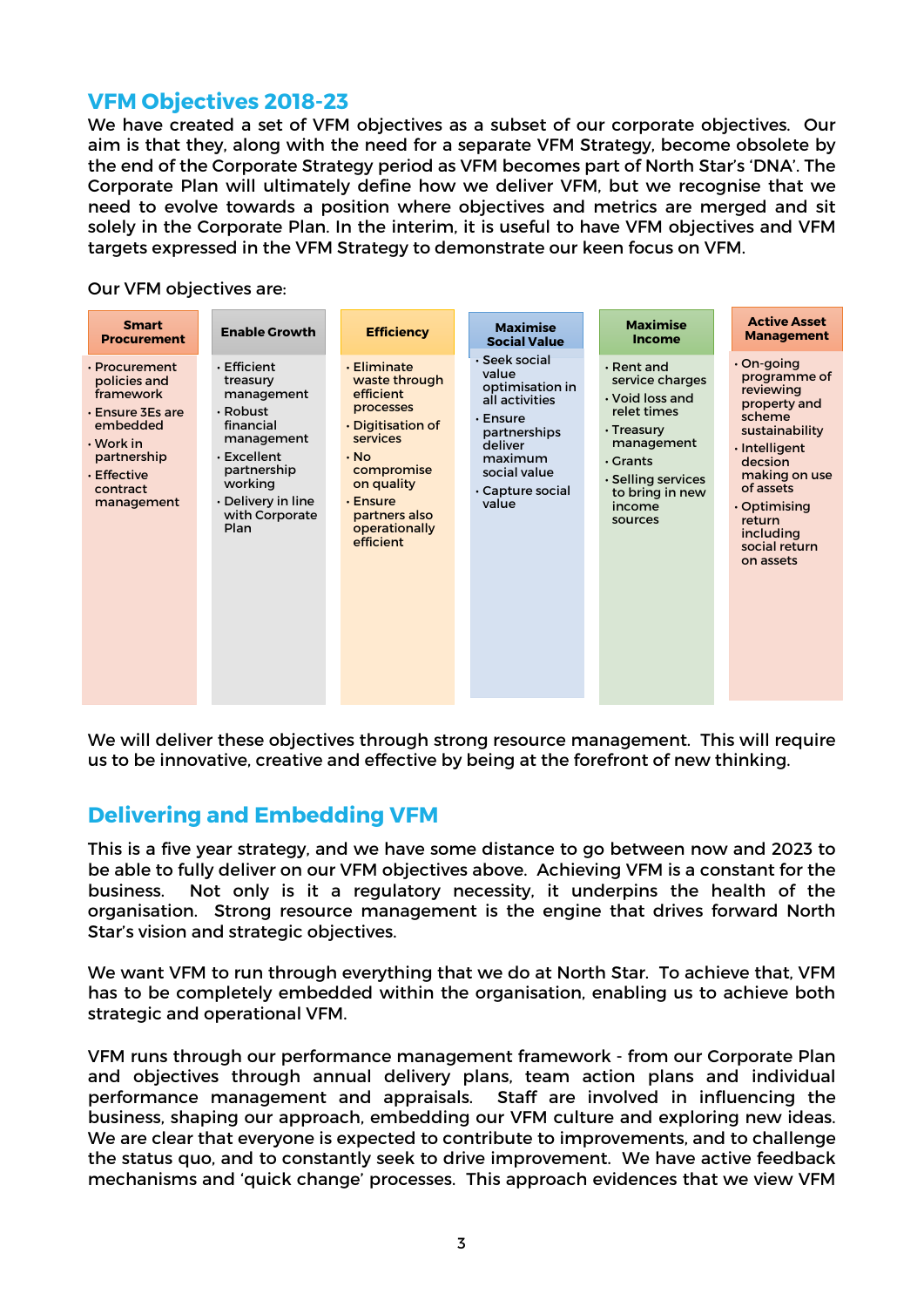## **VFM Objectives 2018-23**

We have created a set of VFM objectives as a subset of our corporate objectives. Our aim is that they, along with the need for a separate VFM Strategy, become obsolete by the end of the Corporate Strategy period as VFM becomes part of North Star's 'DNA'. The Corporate Plan will ultimately define how we deliver VFM, but we recognise that we need to evolve towards a position where objectives and metrics are merged and sit solely in the Corporate Plan. In the interim, it is useful to have VFM objectives and VFM targets expressed in the VFM Strategy to demonstrate our keen focus on VFM.

Our VFM objectives are:



We will deliver these objectives through strong resource management. This will require us to be innovative, creative and effective by being at the forefront of new thinking.

# **Delivering and Embedding VFM**

This is a five year strategy, and we have some distance to go between now and 2023 to be able to fully deliver on our VFM objectives above. Achieving VFM is a constant for the business. Not only is it a regulatory necessity, it underpins the health of the organisation. Strong resource management is the engine that drives forward North Star's vision and strategic objectives.

We want VFM to run through everything that we do at North Star. To achieve that, VFM has to be completely embedded within the organisation, enabling us to achieve both strategic and operational VFM.

VFM runs through our performance management framework - from our Corporate Plan and objectives through annual delivery plans, team action plans and individual performance management and appraisals. Staff are involved in influencing the business, shaping our approach, embedding our VFM culture and exploring new ideas. We are clear that everyone is expected to contribute to improvements, and to challenge the status quo, and to constantly seek to drive improvement. We have active feedback mechanisms and 'quick change' processes. This approach evidences that we view VFM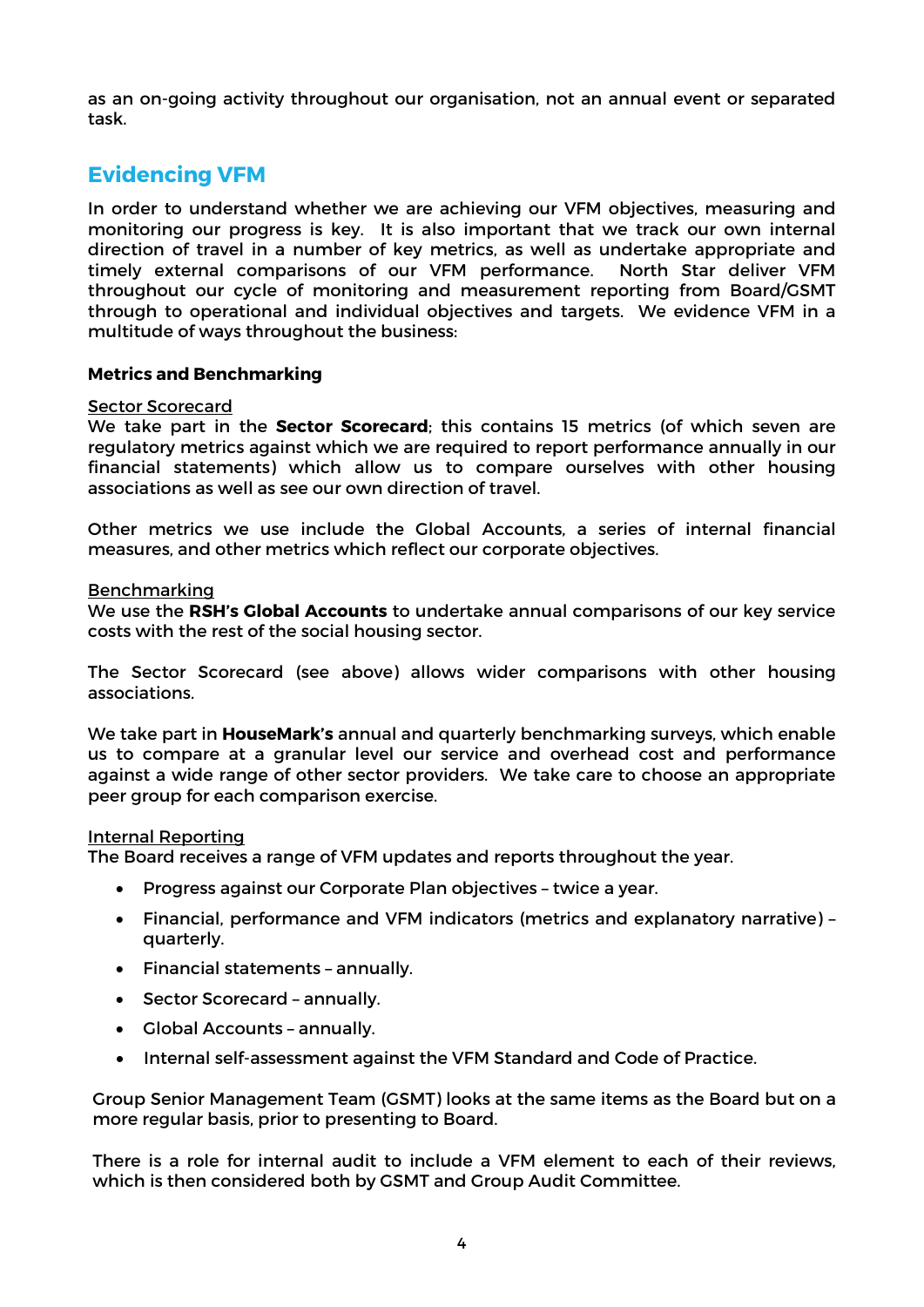as an on-going activity throughout our organisation, not an annual event or separated task.

# **Evidencing VFM**

In order to understand whether we are achieving our VFM objectives, measuring and monitoring our progress is key. It is also important that we track our own internal direction of travel in a number of key metrics, as well as undertake appropriate and timely external comparisons of our VFM performance. North Star deliver VFM throughout our cycle of monitoring and measurement reporting from Board/GSMT through to operational and individual objectives and targets. We evidence VFM in a multitude of ways throughout the business:

### **Metrics and Benchmarking**

### Sector Scorecard

We take part in the **Sector Scorecard**; this contains 15 metrics (of which seven are regulatory metrics against which we are required to report performance annually in our financial statements) which allow us to compare ourselves with other housing associations as well as see our own direction of travel.

Other metrics we use include the Global Accounts, a series of internal financial measures, and other metrics which reflect our corporate objectives.

### Benchmarking

We use the **RSH's Global Accounts** to undertake annual comparisons of our key service costs with the rest of the social housing sector.

The Sector Scorecard (see above) allows wider comparisons with other housing associations.

We take part in **HouseMark's** annual and quarterly benchmarking surveys, which enable us to compare at a granular level our service and overhead cost and performance against a wide range of other sector providers. We take care to choose an appropriate peer group for each comparison exercise.

### Internal Reporting

The Board receives a range of VFM updates and reports throughout the year.

- Progress against our Corporate Plan objectives twice a year.
- Financial, performance and VFM indicators (metrics and explanatory narrative) quarterly.
- Financial statements annually.
- Sector Scorecard annually.
- Global Accounts annually.
- Internal self-assessment against the VFM Standard and Code of Practice.

Group Senior Management Team (GSMT) looks at the same items as the Board but on a more regular basis, prior to presenting to Board.

There is a role for internal audit to include a VFM element to each of their reviews, which is then considered both by GSMT and Group Audit Committee.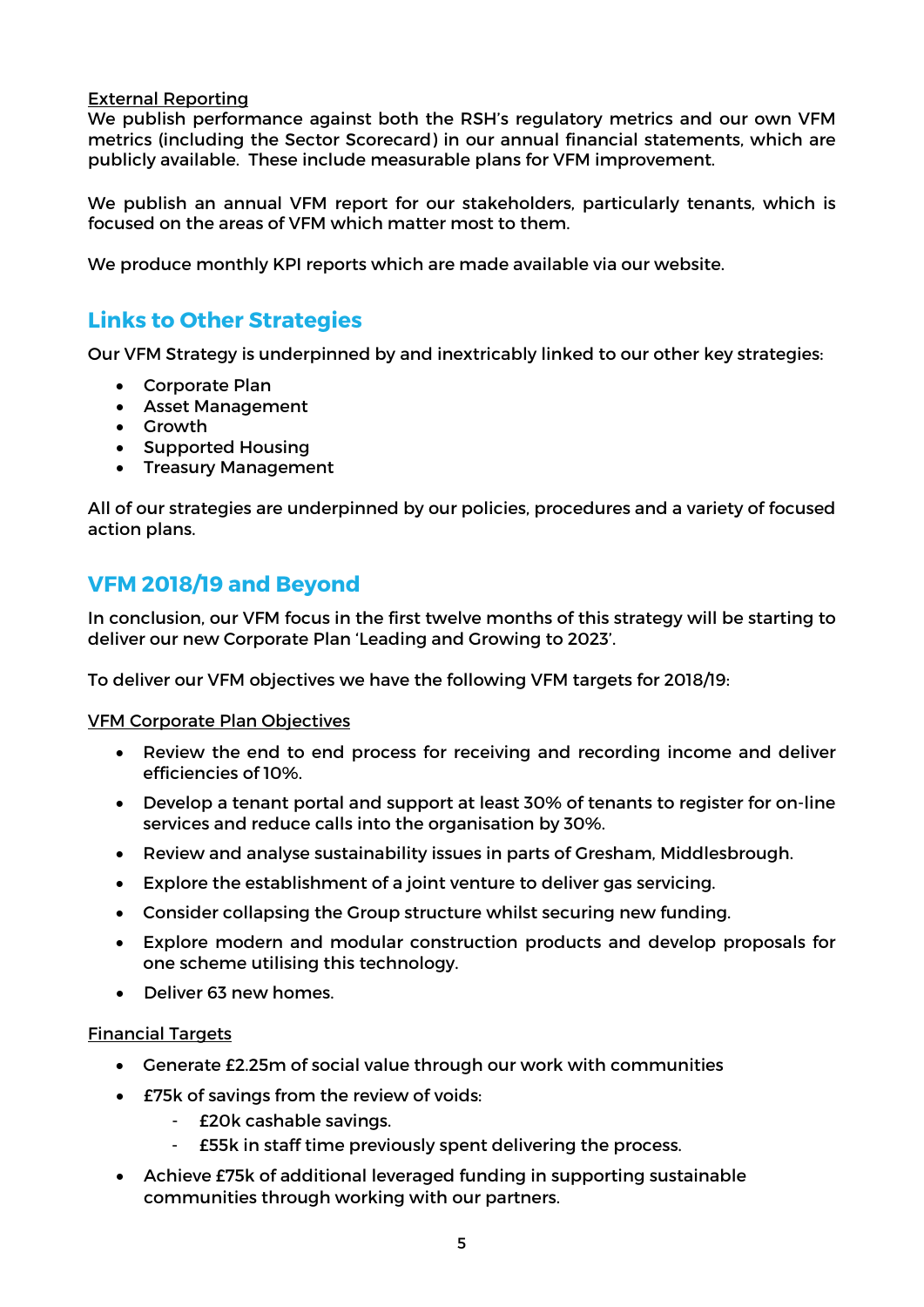## External Reporting

We publish performance against both the RSH's regulatory metrics and our own VFM metrics (including the Sector Scorecard) in our annual financial statements, which are publicly available. These include measurable plans for VFM improvement.

We publish an annual VFM report for our stakeholders, particularly tenants, which is focused on the areas of VFM which matter most to them.

We produce monthly KPI reports which are made available via our website.

# **Links to Other Strategies**

Our VFM Strategy is underpinned by and inextricably linked to our other key strategies:

- Corporate Plan
- Asset Management
- Growth
- Supported Housing
- Treasury Management

All of our strategies are underpinned by our policies, procedures and a variety of focused action plans.

## **VFM 2018/19 and Beyond**

In conclusion, our VFM focus in the first twelve months of this strategy will be starting to deliver our new Corporate Plan 'Leading and Growing to 2023'.

To deliver our VFM objectives we have the following VFM targets for 2018/19:

VFM Corporate Plan Objectives

- Review the end to end process for receiving and recording income and deliver efficiencies of 10%.
- Develop a tenant portal and support at least 30% of tenants to register for on-line services and reduce calls into the organisation by 30%.
- Review and analyse sustainability issues in parts of Gresham, Middlesbrough.
- Explore the establishment of a joint venture to deliver gas servicing.
- Consider collapsing the Group structure whilst securing new funding.
- Explore modern and modular construction products and develop proposals for one scheme utilising this technology.
- Deliver 63 new homes.

### Financial Targets

- Generate £2.25m of social value through our work with communities
- £75k of savings from the review of voids:
	- £20k cashable savings.
	- £55k in staff time previously spent delivering the process.
- Achieve £75k of additional leveraged funding in supporting sustainable communities through working with our partners.